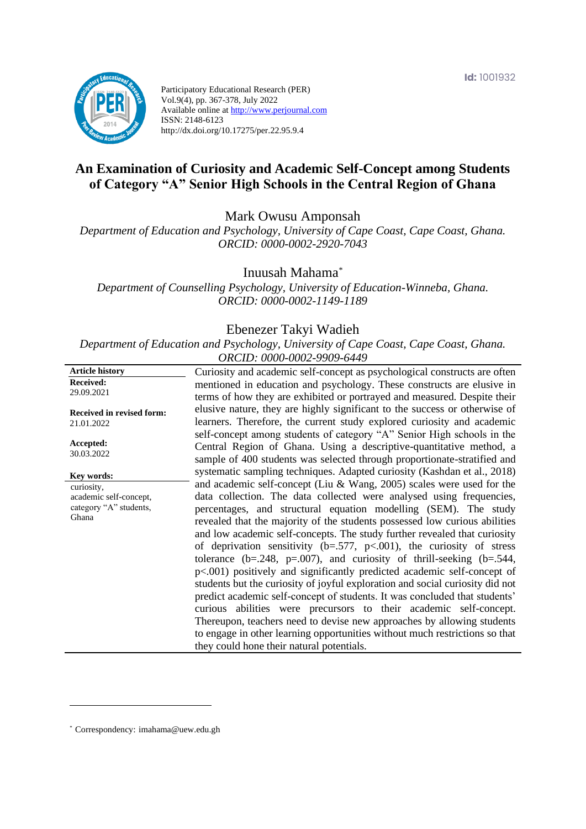

Participatory Educational Research (PER) Vol.9(4), pp. 367-378, July 2022 Available online at http://www.perjournal.com ISSN: 2148-6123 http://dx.doi.org/10.17275/per.22.95.9.4

# **An Examination of Curiosity and Academic Self-Concept among Students of Category "A" Senior High Schools in the Central Region of Ghana**

Mark Owusu Amponsah

*Department of Education and Psychology, University of Cape Coast, Cape Coast, Ghana. ORCID: 0000-0002-2920-7043*

Inuusah Mahama*\**

*Department of Counselling Psychology, University of Education-Winneba, Ghana. ORCID: 0000-0002-1149-1189*

#### Ebenezer Takyi Wadieh

*Department of Education and Psychology, University of Cape Coast, Cape Coast, Ghana. ORCID: 0000-0002-9909-6449*

| <b>Article history</b>           | Curiosity and academic self-concept as psychological constructs are often       |
|----------------------------------|---------------------------------------------------------------------------------|
| <b>Received:</b>                 | mentioned in education and psychology. These constructs are elusive in          |
| 29.09.2021                       | terms of how they are exhibited or portrayed and measured. Despite their        |
|                                  | elusive nature, they are highly significant to the success or otherwise of      |
| <b>Received in revised form:</b> |                                                                                 |
| 21.01.2022                       | learners. Therefore, the current study explored curiosity and academic          |
|                                  | self-concept among students of category "A" Senior High schools in the          |
| Accepted:<br>30.03.2022          | Central Region of Ghana. Using a descriptive-quantitative method, a             |
|                                  | sample of 400 students was selected through proportionate-stratified and        |
| Key words:                       | systematic sampling techniques. Adapted curiosity (Kashdan et al., 2018)        |
| curiosity,                       | and academic self-concept (Liu & Wang, 2005) scales were used for the           |
| academic self-concept,           | data collection. The data collected were analysed using frequencies,            |
| category "A" students,           | percentages, and structural equation modelling (SEM). The study                 |
| Ghana                            |                                                                                 |
|                                  | revealed that the majority of the students possessed low curious abilities      |
|                                  | and low academic self-concepts. The study further revealed that curiosity       |
|                                  | of deprivation sensitivity ( $b = .577$ , $p < .001$ ), the curiosity of stress |
|                                  | tolerance (b=.248, p=.007), and curiosity of thrill-seeking (b=.544,            |
|                                  | $p<.001$ ) positively and significantly predicted academic self-concept of      |
|                                  | students but the curiosity of joyful exploration and social curiosity did not   |
|                                  | predict academic self-concept of students. It was concluded that students'      |
|                                  |                                                                                 |
|                                  | curious abilities were precursors to their academic self-concept.               |
|                                  | Thereupon, teachers need to devise new approaches by allowing students          |
|                                  | to engage in other learning opportunities without much restrictions so that     |
|                                  | they could hone their natural potentials.                                       |
|                                  |                                                                                 |

\* [Correspondency:](mailto:Correspondency:) imahama@uew.edu.gh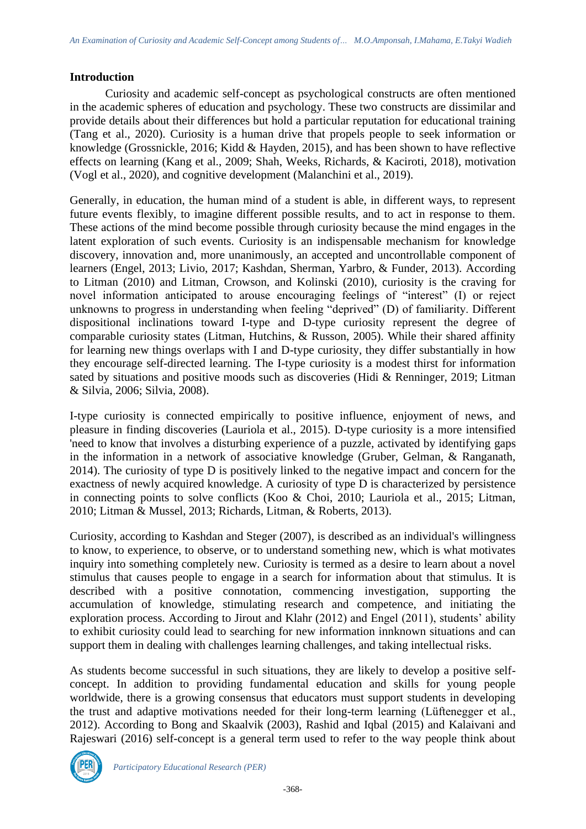### **Introduction**

Curiosity and academic self-concept as psychological constructs are often mentioned in the academic spheres of education and psychology. These two constructs are dissimilar and provide details about their differences but hold a particular reputation for educational training (Tang et al., 2020). Curiosity is a human drive that propels people to seek information or knowledge (Grossnickle, 2016; Kidd & Hayden, 2015), and has been shown to have reflective effects on learning (Kang et al., 2009; Shah, Weeks, Richards, & Kaciroti, 2018), motivation (Vogl et al., 2020), and cognitive development (Malanchini et al., 2019).

Generally, in education, the human mind of a student is able, in different ways, to represent future events flexibly, to imagine different possible results, and to act in response to them. These actions of the mind become possible through curiosity because the mind engages in the latent exploration of such events. Curiosity is an indispensable mechanism for knowledge discovery, innovation and, more unanimously, an accepted and uncontrollable component of learners (Engel, 2013; Livio, 2017; Kashdan, Sherman, Yarbro, & Funder, 2013). According to Litman (2010) and Litman, Crowson, and Kolinski (2010), curiosity is the craving for novel information anticipated to arouse encouraging feelings of "interest" (I) or reject unknowns to progress in understanding when feeling "deprived" (D) of familiarity. Different dispositional inclinations toward I-type and D-type curiosity represent the degree of comparable curiosity states (Litman, Hutchins, & Russon, 2005). While their shared affinity for learning new things overlaps with I and D-type curiosity, they differ substantially in how they encourage self-directed learning. The I-type curiosity is a modest thirst for information sated by situations and positive moods such as discoveries (Hidi & Renninger, 2019; Litman & Silvia, 2006; Silvia, 2008).

I-type curiosity is connected empirically to positive influence, enjoyment of news, and pleasure in finding discoveries (Lauriola et al., 2015). D-type curiosity is a more intensified 'need to know that involves a disturbing experience of a puzzle, activated by identifying gaps in the information in a network of associative knowledge (Gruber, Gelman, & Ranganath, 2014). The curiosity of type D is positively linked to the negative impact and concern for the exactness of newly acquired knowledge. A curiosity of type D is characterized by persistence in connecting points to solve conflicts (Koo & Choi, 2010; Lauriola et al., 2015; Litman, 2010; Litman & Mussel, 2013; Richards, Litman, & Roberts, 2013).

Curiosity, according to Kashdan and Steger (2007), is described as an individual's willingness to know, to experience, to observe, or to understand something new, which is what motivates inquiry into something completely new. Curiosity is termed as a desire to learn about a novel stimulus that causes people to engage in a search for information about that stimulus. It is described with a positive connotation, commencing investigation, supporting the accumulation of knowledge, stimulating research and competence, and initiating the exploration process. According to Jirout and Klahr (2012) and Engel (2011), students' ability to exhibit curiosity could lead to searching for new information innknown situations and can support them in dealing with challenges learning challenges, and taking intellectual risks.

As students become successful in such situations, they are likely to develop a positive selfconcept. In addition to providing fundamental education and skills for young people worldwide, there is a growing consensus that educators must support students in developing the trust and adaptive motivations needed for their long-term learning (Lüftenegger et al., 2012). According to Bong and Skaalvik (2003), Rashid and Iqbal (2015) and Kalaivani and Rajeswari (2016) self-concept is a general term used to refer to the way people think about

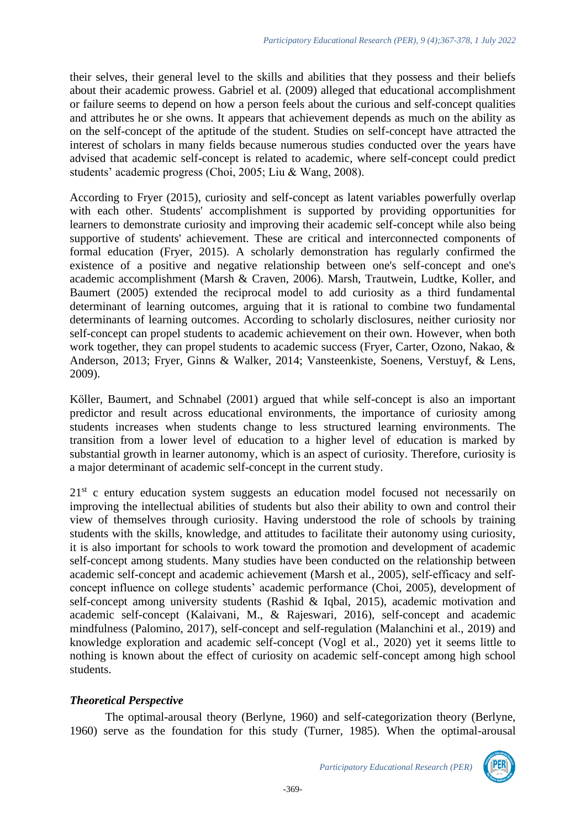their selves, their general level to the skills and abilities that they possess and their beliefs about their academic prowess. Gabriel et al. (2009) alleged that educational accomplishment or failure seems to depend on how a person feels about the curious and self-concept qualities and attributes he or she owns. It appears that achievement depends as much on the ability as on the self-concept of the aptitude of the student. Studies on self-concept have attracted the interest of scholars in many fields because numerous studies conducted over the years have advised that academic self-concept is related to academic, where self-concept could predict students' academic progress (Choi, 2005; Liu & Wang, 2008).

According to Fryer (2015), curiosity and self-concept as latent variables powerfully overlap with each other. Students' accomplishment is supported by providing opportunities for learners to demonstrate curiosity and improving their academic self-concept while also being supportive of students' achievement. These are critical and interconnected components of formal education (Fryer, 2015). A scholarly demonstration has regularly confirmed the existence of a positive and negative relationship between one's self-concept and one's academic accomplishment (Marsh & Craven, 2006). Marsh, Trautwein, Ludtke, Koller, and Baumert (2005) extended the reciprocal model to add curiosity as a third fundamental determinant of learning outcomes, arguing that it is rational to combine two fundamental determinants of learning outcomes. According to scholarly disclosures, neither curiosity nor self-concept can propel students to academic achievement on their own. However, when both work together, they can propel students to academic success (Fryer, Carter, Ozono, Nakao, & Anderson, 2013; Fryer, Ginns & Walker, 2014; Vansteenkiste, Soenens, Verstuyf, & Lens, 2009).

Köller, Baumert, and Schnabel (2001) argued that while self-concept is also an important predictor and result across educational environments, the importance of curiosity among students increases when students change to less structured learning environments. The transition from a lower level of education to a higher level of education is marked by substantial growth in learner autonomy, which is an aspect of curiosity. Therefore, curiosity is a major determinant of academic self-concept in the current study.

 $21<sup>st</sup>$  c entury education system suggests an education model focused not necessarily on improving the intellectual abilities of students but also their ability to own and control their view of themselves through curiosity. Having understood the role of schools by training students with the skills, knowledge, and attitudes to facilitate their autonomy using curiosity, it is also important for schools to work toward the promotion and development of academic self-concept among students. Many studies have been conducted on the relationship between academic self-concept and academic achievement (Marsh et al., 2005), self‐efficacy and self‐ concept influence on college students' academic performance (Choi, 2005), development of self-concept among university students (Rashid & Iqbal, 2015), academic motivation and academic self-concept (Kalaivani, M., & Rajeswari, 2016), self-concept and academic mindfulness (Palomino, 2017), self-concept and self-regulation (Malanchini et al., 2019) and knowledge exploration and academic self-concept (Vogl et al., 2020) yet it seems little to nothing is known about the effect of curiosity on academic self-concept among high school students.

# *Theoretical Perspective*

The optimal-arousal theory (Berlyne, 1960) and self-categorization theory (Berlyne, 1960) serve as the foundation for this study (Turner, 1985). When the optimal-arousal

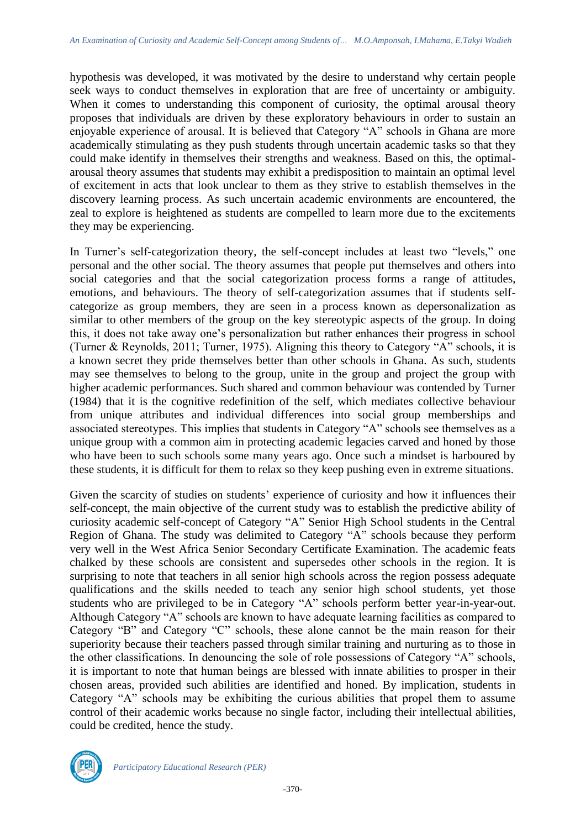hypothesis was developed, it was motivated by the desire to understand why certain people seek ways to conduct themselves in exploration that are free of uncertainty or ambiguity. When it comes to understanding this component of curiosity, the optimal arousal theory proposes that individuals are driven by these exploratory behaviours in order to sustain an enjoyable experience of arousal. It is believed that Category "A" schools in Ghana are more academically stimulating as they push students through uncertain academic tasks so that they could make identify in themselves their strengths and weakness. Based on this, the optimalarousal theory assumes that students may exhibit a predisposition to maintain an optimal level of excitement in acts that look unclear to them as they strive to establish themselves in the discovery learning process. As such uncertain academic environments are encountered, the zeal to explore is heightened as students are compelled to learn more due to the excitements they may be experiencing.

In Turner's self-categorization theory, the self-concept includes at least two "levels," one personal and the other social. The theory assumes that people put themselves and others into social categories and that the social categorization process forms a range of attitudes, emotions, and behaviours. The theory of self-categorization assumes that if students selfcategorize as group members, they are seen in a process known as depersonalization as similar to other members of the group on the key stereotypic aspects of the group. In doing this, it does not take away one's personalization but rather enhances their progress in school (Turner & Reynolds, 2011; Turner, 1975). Aligning this theory to Category "A" schools, it is a known secret they pride themselves better than other schools in Ghana. As such, students may see themselves to belong to the group, unite in the group and project the group with higher academic performances. Such shared and common behaviour was contended by Turner (1984) that it is the cognitive redefinition of the self, which mediates collective behaviour from unique attributes and individual differences into social group memberships and associated stereotypes. This implies that students in Category "A" schools see themselves as a unique group with a common aim in protecting academic legacies carved and honed by those who have been to such schools some many years ago. Once such a mindset is harboured by these students, it is difficult for them to relax so they keep pushing even in extreme situations.

Given the scarcity of studies on students' experience of curiosity and how it influences their self-concept, the main objective of the current study was to establish the predictive ability of curiosity academic self-concept of Category "A" Senior High School students in the Central Region of Ghana. The study was delimited to Category "A" schools because they perform very well in the West Africa Senior Secondary Certificate Examination. The academic feats chalked by these schools are consistent and supersedes other schools in the region. It is surprising to note that teachers in all senior high schools across the region possess adequate qualifications and the skills needed to teach any senior high school students, yet those students who are privileged to be in Category "A" schools perform better year-in-year-out. Although Category "A" schools are known to have adequate learning facilities as compared to Category "B" and Category "C" schools, these alone cannot be the main reason for their superiority because their teachers passed through similar training and nurturing as to those in the other classifications. In denouncing the sole of role possessions of Category "A" schools, it is important to note that human beings are blessed with innate abilities to prosper in their chosen areas, provided such abilities are identified and honed. By implication, students in Category "A" schools may be exhibiting the curious abilities that propel them to assume control of their academic works because no single factor, including their intellectual abilities, could be credited, hence the study.

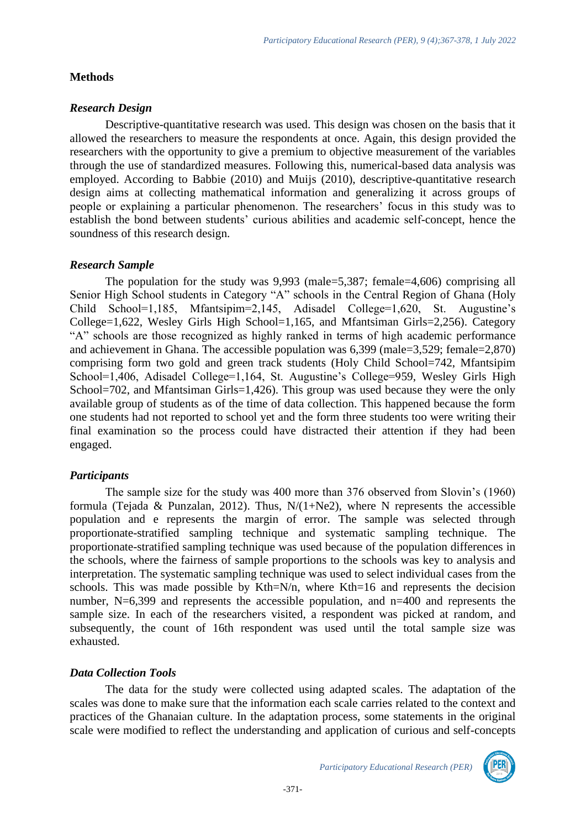### **Methods**

# *Research Design*

Descriptive-quantitative research was used. This design was chosen on the basis that it allowed the researchers to measure the respondents at once. Again, this design provided the researchers with the opportunity to give a premium to objective measurement of the variables through the use of standardized measures. Following this, numerical-based data analysis was employed. According to Babbie (2010) and Muijs (2010), descriptive-quantitative research design aims at collecting mathematical information and generalizing it across groups of people or explaining a particular phenomenon. The researchers' focus in this study was to establish the bond between students' curious abilities and academic self-concept, hence the soundness of this research design.

# *Research Sample*

The population for the study was 9,993 (male=5,387; female=4,606) comprising all Senior High School students in Category "A" schools in the Central Region of Ghana (Holy Child School=1,185, Mfantsipim=2,145, Adisadel College=1,620, St. Augustine's College=1,622, Wesley Girls High School=1,165, and Mfantsiman Girls=2,256). Category "A" schools are those recognized as highly ranked in terms of high academic performance and achievement in Ghana. The accessible population was 6,399 (male=3,529; female=2,870) comprising form two gold and green track students (Holy Child School=742, Mfantsipim School=1,406, Adisadel College=1,164, St. Augustine's College=959, Wesley Girls High School=702, and Mfantsiman Girls=1,426). This group was used because they were the only available group of students as of the time of data collection. This happened because the form one students had not reported to school yet and the form three students too were writing their final examination so the process could have distracted their attention if they had been engaged.

# *Participants*

The sample size for the study was 400 more than 376 observed from Slovin's (1960) formula (Tejada & Punzalan, 2012). Thus,  $N/(1+Ne2)$ , where N represents the accessible population and e represents the margin of error. The sample was selected through proportionate-stratified sampling technique and systematic sampling technique. The proportionate-stratified sampling technique was used because of the population differences in the schools, where the fairness of sample proportions to the schools was key to analysis and interpretation. The systematic sampling technique was used to select individual cases from the schools. This was made possible by Kth=N/n, where Kth=16 and represents the decision number, N=6,399 and represents the accessible population, and n=400 and represents the sample size. In each of the researchers visited, a respondent was picked at random, and subsequently, the count of 16th respondent was used until the total sample size was exhausted.

# *Data Collection Tools*

The data for the study were collected using adapted scales. The adaptation of the scales was done to make sure that the information each scale carries related to the context and practices of the Ghanaian culture. In the adaptation process, some statements in the original scale were modified to reflect the understanding and application of curious and self-concepts

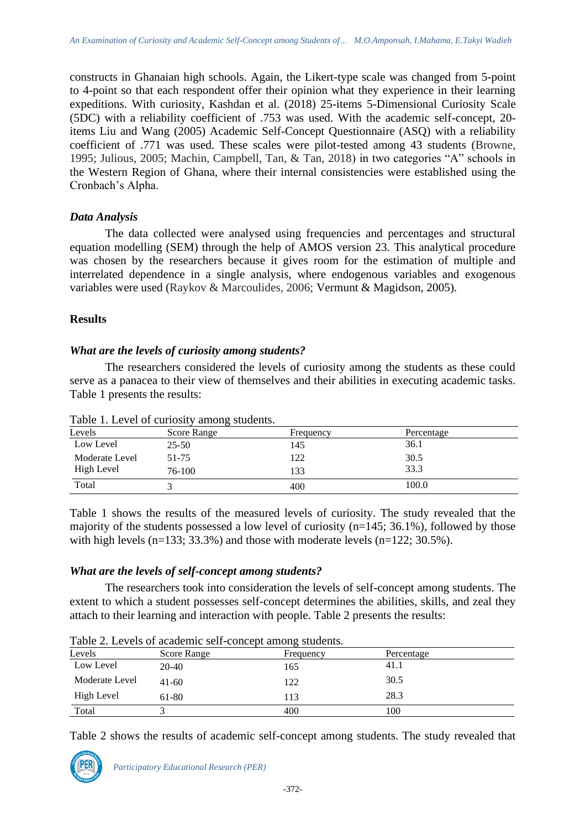constructs in Ghanaian high schools. Again, the Likert-type scale was changed from 5-point to 4-point so that each respondent offer their opinion what they experience in their learning expeditions. With curiosity, Kashdan et al. (2018) 25-items 5-Dimensional Curiosity Scale (5DC) with a reliability coefficient of .753 was used. With the academic self-concept, 20 items Liu and Wang (2005) Academic Self-Concept Questionnaire (ASQ) with a reliability coefficient of .771 was used. These scales were pilot-tested among 43 students (Browne, 1995; Julious, 2005; Machin, Campbell, Tan, & Tan, 2018) in two categories "A" schools in the Western Region of Ghana, where their internal consistencies were established using the Cronbach's Alpha.

### *Data Analysis*

The data collected were analysed using frequencies and percentages and structural equation modelling (SEM) through the help of AMOS version 23. This analytical procedure was chosen by the researchers because it gives room for the estimation of multiple and interrelated dependence in a single analysis, where endogenous variables and exogenous variables were used (Raykov & Marcoulides, 2006; Vermunt & Magidson, 2005).

### **Results**

#### *What are the levels of curiosity among students?*

The researchers considered the levels of curiosity among the students as these could serve as a panacea to their view of themselves and their abilities in executing academic tasks. Table 1 presents the results:

| Twore It Liet of earloon, annong bracemed. |             |           |            |  |  |
|--------------------------------------------|-------------|-----------|------------|--|--|
| Levels                                     | Score Range | Frequency | Percentage |  |  |
| Low Level                                  | 25-50       | 145       | 36.1       |  |  |
| Moderate Level                             | 51-75       | 122       | 30.5       |  |  |
| High Level                                 | 76-100      | 133       | 33.3       |  |  |
| Total                                      |             | 400       | 100.0      |  |  |

Table 1. Level of curiosity among students.

Table 1 shows the results of the measured levels of curiosity. The study revealed that the majority of the students possessed a low level of curiosity (n=145; 36.1%), followed by those with high levels ( $n=133$ ; 33.3%) and those with moderate levels ( $n=122$ ; 30.5%).

#### *What are the levels of self-concept among students?*

The researchers took into consideration the levels of self-concept among students. The extent to which a student possesses self-concept determines the abilities, skills, and zeal they attach to their learning and interaction with people. Table 2 presents the results:

| $1$ able $2$ . Levels of academic sen concept among students. |            |  |  |  |  |
|---------------------------------------------------------------|------------|--|--|--|--|
| Score Range<br>Frequency                                      | Percentage |  |  |  |  |
| 165                                                           | 41.1       |  |  |  |  |
| 122                                                           | 30.5       |  |  |  |  |
| 113                                                           | 28.3       |  |  |  |  |
| 400                                                           | 100        |  |  |  |  |
|                                                               |            |  |  |  |  |

Table 2. Levels of academic self-concept among students.

Table 2 shows the results of academic self-concept among students. The study revealed that

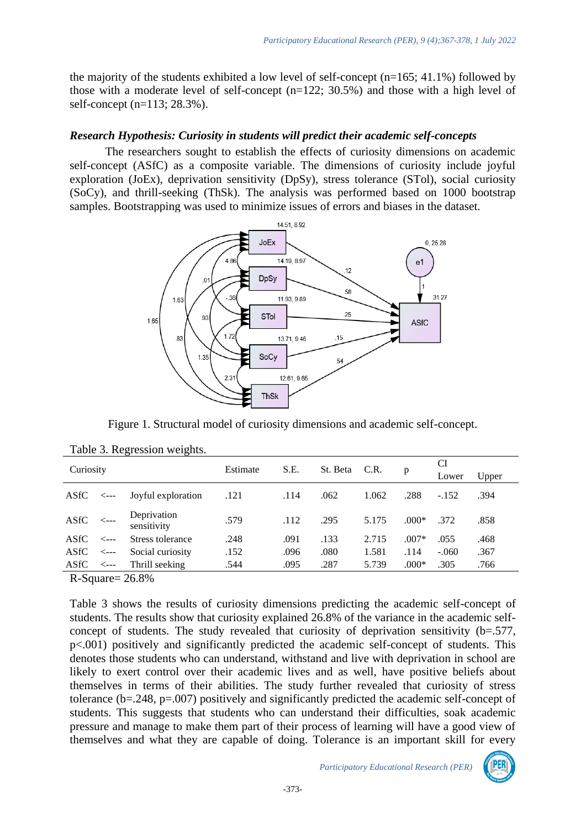the majority of the students exhibited a low level of self-concept  $(n=165; 41.1%)$  followed by those with a moderate level of self-concept  $(n=122; 30.5%)$  and those with a high level of self-concept (n=113; 28.3%).

# *Research Hypothesis: Curiosity in students will predict their academic self-concepts*

The researchers sought to establish the effects of curiosity dimensions on academic self-concept (ASfC) as a composite variable. The dimensions of curiosity include joyful exploration (JoEx), deprivation sensitivity (DpSy), stress tolerance (STol), social curiosity (SoCy), and thrill-seeking (ThSk). The analysis was performed based on 1000 bootstrap samples. Bootstrapping was used to minimize issues of errors and biases in the dataset.



Figure 1. Structural model of curiosity dimensions and academic self-concept.

| Curiosity |                  |                            |      |          |      |       |         | CI      |      |  |
|-----------|------------------|----------------------------|------|----------|------|-------|---------|---------|------|--|
|           |                  | Estimate                   | S.E. | St. Beta | C.R. | p     | Lower   | Upper   |      |  |
| ASfC      | --->             | Joyful exploration         | .121 | .114     | .062 | 1.062 | .288    | $-.152$ | .394 |  |
| ASfC      |                  | Deprivation<br>sensitivity | .579 | .112     | .295 | 5.175 | $.000*$ | .372    | .858 |  |
| ASfC      | $\leftarrow$ --- | Stress tolerance           | .248 | .091     | .133 | 2.715 | $.007*$ | .055    | .468 |  |
| ASfC      | $\leftarrow$ --- | Social curiosity           | .152 | .096     | .080 | 1.581 | .114    | $-.060$ | .367 |  |
| ASfC      | $\leftarrow$ --- | Thrill seeking             | .544 | .095     | .287 | 5.739 | $.000*$ | .305    | .766 |  |
|           |                  |                            |      |          |      |       |         |         |      |  |

```
Table 3. Regression weights.
```
R-Square= 26.8%

Table 3 shows the results of curiosity dimensions predicting the academic self-concept of students. The results show that curiosity explained 26.8% of the variance in the academic selfconcept of students. The study revealed that curiosity of deprivation sensitivity (b=.577, p<.001) positively and significantly predicted the academic self-concept of students. This denotes those students who can understand, withstand and live with deprivation in school are likely to exert control over their academic lives and as well, have positive beliefs about themselves in terms of their abilities. The study further revealed that curiosity of stress tolerance (b=.248, p=.007) positively and significantly predicted the academic self-concept of students. This suggests that students who can understand their difficulties, soak academic pressure and manage to make them part of their process of learning will have a good view of themselves and what they are capable of doing. Tolerance is an important skill for every

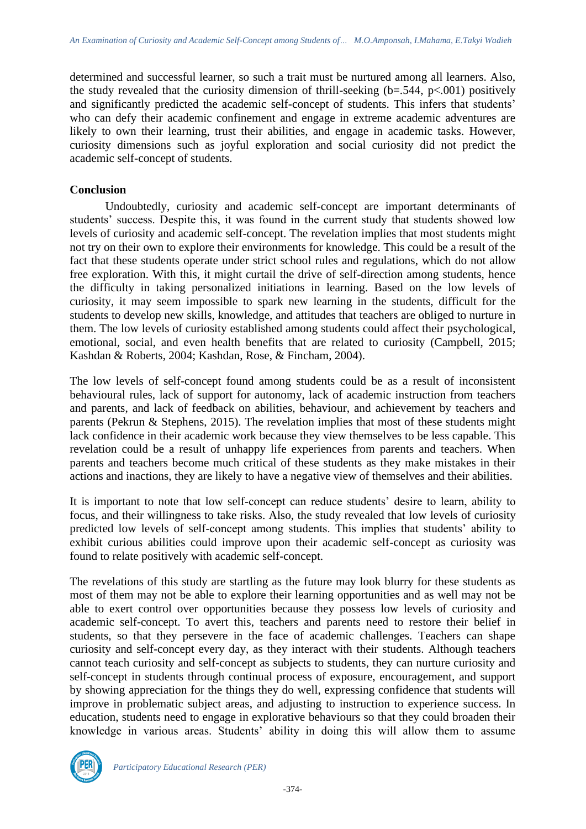determined and successful learner, so such a trait must be nurtured among all learners. Also, the study revealed that the curiosity dimension of thrill-seeking  $(b=.544, p<.001)$  positively and significantly predicted the academic self-concept of students. This infers that students' who can defy their academic confinement and engage in extreme academic adventures are likely to own their learning, trust their abilities, and engage in academic tasks. However, curiosity dimensions such as joyful exploration and social curiosity did not predict the academic self-concept of students.

#### **Conclusion**

Undoubtedly, curiosity and academic self-concept are important determinants of students' success. Despite this, it was found in the current study that students showed low levels of curiosity and academic self-concept. The revelation implies that most students might not try on their own to explore their environments for knowledge. This could be a result of the fact that these students operate under strict school rules and regulations, which do not allow free exploration. With this, it might curtail the drive of self-direction among students, hence the difficulty in taking personalized initiations in learning. Based on the low levels of curiosity, it may seem impossible to spark new learning in the students, difficult for the students to develop new skills, knowledge, and attitudes that teachers are obliged to nurture in them. The low levels of curiosity established among students could affect their psychological, emotional, social, and even health benefits that are related to curiosity (Campbell, 2015; Kashdan & Roberts, 2004; Kashdan, Rose, & Fincham, 2004).

The low levels of self-concept found among students could be as a result of inconsistent behavioural rules, lack of support for autonomy, lack of academic instruction from teachers and parents, and lack of feedback on abilities, behaviour, and achievement by teachers and parents (Pekrun & Stephens, 2015). The revelation implies that most of these students might lack confidence in their academic work because they view themselves to be less capable. This revelation could be a result of unhappy life experiences from parents and teachers. When parents and teachers become much critical of these students as they make mistakes in their actions and inactions, they are likely to have a negative view of themselves and their abilities.

It is important to note that low self-concept can reduce students' desire to learn, ability to focus, and their willingness to take risks. Also, the study revealed that low levels of curiosity predicted low levels of self-concept among students. This implies that students' ability to exhibit curious abilities could improve upon their academic self-concept as curiosity was found to relate positively with academic self-concept.

The revelations of this study are startling as the future may look blurry for these students as most of them may not be able to explore their learning opportunities and as well may not be able to exert control over opportunities because they possess low levels of curiosity and academic self-concept. To avert this, teachers and parents need to restore their belief in students, so that they persevere in the face of academic challenges. Teachers can shape curiosity and self-concept every day, as they interact with their students. Although teachers cannot teach curiosity and self-concept as subjects to students, they can nurture curiosity and self-concept in students through continual process of exposure, encouragement, and support by showing appreciation for the things they do well, expressing confidence that students will improve in problematic subject areas, and adjusting to instruction to experience success. In education, students need to engage in explorative behaviours so that they could broaden their knowledge in various areas. Students' ability in doing this will allow them to assume

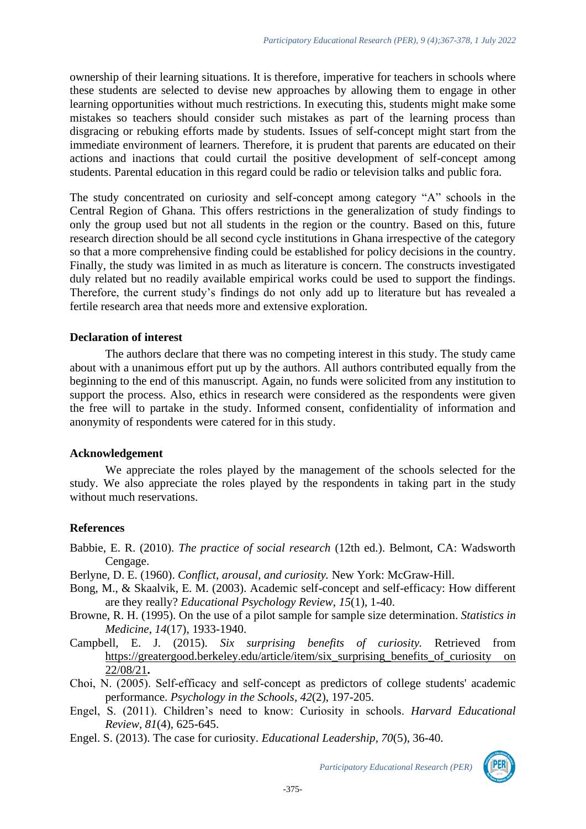ownership of their learning situations. It is therefore, imperative for teachers in schools where these students are selected to devise new approaches by allowing them to engage in other learning opportunities without much restrictions. In executing this, students might make some mistakes so teachers should consider such mistakes as part of the learning process than disgracing or rebuking efforts made by students. Issues of self-concept might start from the immediate environment of learners. Therefore, it is prudent that parents are educated on their actions and inactions that could curtail the positive development of self-concept among students. Parental education in this regard could be radio or television talks and public fora.

The study concentrated on curiosity and self-concept among category "A" schools in the Central Region of Ghana. This offers restrictions in the generalization of study findings to only the group used but not all students in the region or the country. Based on this, future research direction should be all second cycle institutions in Ghana irrespective of the category so that a more comprehensive finding could be established for policy decisions in the country. Finally, the study was limited in as much as literature is concern. The constructs investigated duly related but no readily available empirical works could be used to support the findings. Therefore, the current study's findings do not only add up to literature but has revealed a fertile research area that needs more and extensive exploration.

### **Declaration of interest**

The authors declare that there was no competing interest in this study. The study came about with a unanimous effort put up by the authors. All authors contributed equally from the beginning to the end of this manuscript. Again, no funds were solicited from any institution to support the process. Also, ethics in research were considered as the respondents were given the free will to partake in the study. Informed consent, confidentiality of information and anonymity of respondents were catered for in this study.

#### **Acknowledgement**

We appreciate the roles played by the management of the schools selected for the study. We also appreciate the roles played by the respondents in taking part in the study without much reservations.

# **References**

Babbie, E. R. (2010). *The practice of social research* (12th ed.). Belmont, CA: Wadsworth Cengage.

- Berlyne, D. E. (1960). *Conflict, arousal, and curiosity.* New York: McGraw-Hill.
- Bong, M., & Skaalvik, E. M. (2003). Academic self-concept and self-efficacy: How different are they really? *Educational Psychology Review*, *15*(1), 1-40.
- Browne, R. H. (1995). On the use of a pilot sample for sample size determination. *Statistics in Medicine*, *14*(17), 1933-1940.
- Campbell, E. J. (2015). *Six surprising benefits of curiosity.* Retrieved from [https://greatergood.berkeley.edu/article/item/six\\_surprising\\_benefits\\_of\\_curiosity on](https://greatergood.berkeley.edu/article/item/six_surprising_benefits_of_curiosity%20on%2022/08/21)  [22/08/21](https://greatergood.berkeley.edu/article/item/six_surprising_benefits_of_curiosity%20on%2022/08/21)**.**
- Choi, N. (2005). Self‐efficacy and self‐concept as predictors of college students' academic performance. *Psychology in the Schools*, *42*(2), 197-205.
- Engel, S. (2011). Children's need to know: Curiosity in schools. *Harvard Educational Review, 81*(4), 625-645.
- Engel. S. (2013). The case for curiosity. *Educational Leadership, 70*(5), 36-40.

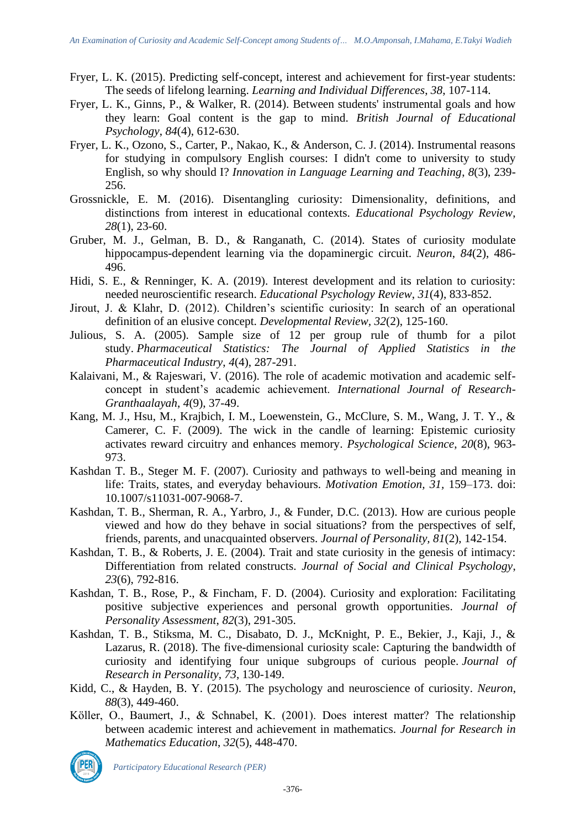- Fryer, L. K. (2015). Predicting self-concept, interest and achievement for first-year students: The seeds of lifelong learning. *Learning and Individual Differences*, *38*, 107-114.
- Fryer, L. K., Ginns, P., & Walker, R. (2014). Between students' instrumental goals and how they learn: Goal content is the gap to mind. *British Journal of Educational Psychology*, *84*(4), 612-630.
- Fryer, L. K., Ozono, S., Carter, P., Nakao, K., & Anderson, C. J. (2014). Instrumental reasons for studying in compulsory English courses: I didn't come to university to study English, so why should I? *Innovation in Language Learning and Teaching*, *8*(3), 239- 256.
- Grossnickle, E. M. (2016). Disentangling curiosity: Dimensionality, definitions, and distinctions from interest in educational contexts. *Educational Psychology Review*, *28*(1), 23-60.
- Gruber, M. J., Gelman, B. D., & Ranganath, C. (2014). States of curiosity modulate hippocampus-dependent learning via the dopaminergic circuit. *Neuron*, *84*(2), 486- 496.
- Hidi, S. E., & Renninger, K. A. (2019). Interest development and its relation to curiosity: needed neuroscientific research. *Educational Psychology Review*, *31*(4), 833-852.
- Jirout, J. & Klahr, D. (2012). Children's scientific curiosity: In search of an operational definition of an elusive concept. *Developmental Review, 32*(2), 125-160.
- Julious, S. A. (2005). Sample size of 12 per group rule of thumb for a pilot study. *Pharmaceutical Statistics: The Journal of Applied Statistics in the Pharmaceutical Industry*, *4*(4), 287-291.
- Kalaivani, M., & Rajeswari, V. (2016). The role of academic motivation and academic selfconcept in student's academic achievement. *International Journal of Research-Granthaalayah*, *4*(9), 37-49.
- Kang, M. J., Hsu, M., Krajbich, I. M., Loewenstein, G., McClure, S. M., Wang, J. T. Y., & Camerer, C. F. (2009). The wick in the candle of learning: Epistemic curiosity activates reward circuitry and enhances memory. *Psychological Science*, *20*(8), 963- 973.
- Kashdan T. B., Steger M. F. (2007). Curiosity and pathways to well-being and meaning in life: Traits, states, and everyday behaviours. *Motivation Emotion, 31,* 159–173. doi: 10.1007/s11031-007-9068-7.
- Kashdan, T. B., Sherman, R. A., Yarbro, J., & Funder, D.C. (2013). How are curious people viewed and how do they behave in social situations? from the perspectives of self, friends, parents, and unacquainted observers. *Journal of Personality, 81*(2), 142-154.
- Kashdan, T. B., & Roberts, J. E. (2004). Trait and state curiosity in the genesis of intimacy: Differentiation from related constructs. *Journal of Social and Clinical Psychology*, *23*(6), 792-816.
- Kashdan, T. B., Rose, P., & Fincham, F. D. (2004). Curiosity and exploration: Facilitating positive subjective experiences and personal growth opportunities. *Journal of Personality Assessment*, *82*(3), 291-305.
- Kashdan, T. B., Stiksma, M. C., Disabato, D. J., McKnight, P. E., Bekier, J., Kaji, J., & Lazarus, R. (2018). The five-dimensional curiosity scale: Capturing the bandwidth of curiosity and identifying four unique subgroups of curious people. *Journal of Research in Personality*, *73*, 130-149.
- Kidd, C., & Hayden, B. Y. (2015). The psychology and neuroscience of curiosity. *Neuron*, *88*(3), 449-460.
- Köller, O., Baumert, J., & Schnabel, K. (2001). Does interest matter? The relationship between academic interest and achievement in mathematics. *Journal for Research in Mathematics Education*, *32*(5), 448-470.



*Participatory Educational Research (PER)*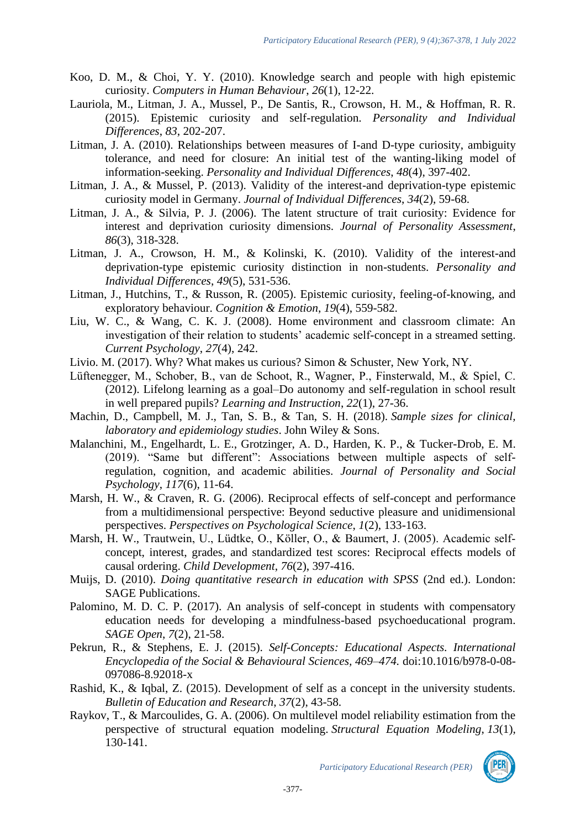- Koo, D. M., & Choi, Y. Y. (2010). Knowledge search and people with high epistemic curiosity. *Computers in Human Behaviour*, *26*(1), 12-22.
- Lauriola, M., Litman, J. A., Mussel, P., De Santis, R., Crowson, H. M., & Hoffman, R. R. (2015). Epistemic curiosity and self-regulation. *Personality and Individual Differences*, *83*, 202-207.
- Litman, J. A. (2010). Relationships between measures of I-and D-type curiosity, ambiguity tolerance, and need for closure: An initial test of the wanting-liking model of information-seeking. *Personality and Individual Differences*, *48*(4), 397-402.
- Litman, J. A., & Mussel, P. (2013). Validity of the interest-and deprivation-type epistemic curiosity model in Germany. *Journal of Individual Differences*, *34*(2), 59-68.
- Litman, J. A., & Silvia, P. J. (2006). The latent structure of trait curiosity: Evidence for interest and deprivation curiosity dimensions. *Journal of Personality Assessment*, *86*(3), 318-328.
- Litman, J. A., Crowson, H. M., & Kolinski, K. (2010). Validity of the interest-and deprivation-type epistemic curiosity distinction in non-students. *Personality and Individual Differences*, *49*(5), 531-536.
- Litman, J., Hutchins, T., & Russon, R. (2005). Epistemic curiosity, feeling-of-knowing, and exploratory behaviour. *Cognition & Emotion*, *19*(4), 559-582.
- Liu, W. C., & Wang, C. K. J. (2008). Home environment and classroom climate: An investigation of their relation to students' academic self-concept in a streamed setting. *Current Psychology*, *27*(4), 242.
- Livio. M. (2017). Why? What makes us curious? Simon & Schuster, New York, NY.
- Lüftenegger, M., Schober, B., van de Schoot, R., Wagner, P., Finsterwald, M., & Spiel, C. (2012). Lifelong learning as a goal–Do autonomy and self-regulation in school result in well prepared pupils? *Learning and Instruction*, *22*(1), 27-36.
- Machin, D., Campbell, M. J., Tan, S. B., & Tan, S. H. (2018). *Sample sizes for clinical, laboratory and epidemiology studies*. John Wiley & Sons.
- Malanchini, M., Engelhardt, L. E., Grotzinger, A. D., Harden, K. P., & Tucker-Drob, E. M. (2019). "Same but different": Associations between multiple aspects of selfregulation, cognition, and academic abilities. *Journal of Personality and Social Psychology*, *117*(6), 11-64.
- Marsh, H. W., & Craven, R. G. (2006). Reciprocal effects of self-concept and performance from a multidimensional perspective: Beyond seductive pleasure and unidimensional perspectives. *Perspectives on Psychological Science*, *1*(2), 133-163.
- Marsh, H. W., Trautwein, U., Lüdtke, O., Köller, O., & Baumert, J. (2005). Academic self‐ concept, interest, grades, and standardized test scores: Reciprocal effects models of causal ordering. *Child Development*, *76*(2), 397-416.
- Muijs, D. (2010). *Doing quantitative research in education with SPSS* (2nd ed.). London: SAGE Publications.
- Palomino, M. D. C. P. (2017). An analysis of self-concept in students with compensatory education needs for developing a mindfulness-based psychoeducational program. *SAGE Open*, *7*(2), 21-58.
- Pekrun, R., & Stephens, E. J. (2015). *Self-Concepts: Educational Aspects. International Encyclopedia of the Social & Behavioural Sciences, 469–474.* doi:10.1016/b978-0-08- 097086-8.92018-x
- Rashid, K., & Iqbal, Z. (2015). Development of self as a concept in the university students. *Bulletin of Education and Research*, *37*(2), 43-58.
- Raykov, T., & Marcoulides, G. A. (2006). On multilevel model reliability estimation from the perspective of structural equation modeling. *Structural Equation Modeling*, *13*(1), 130-141.